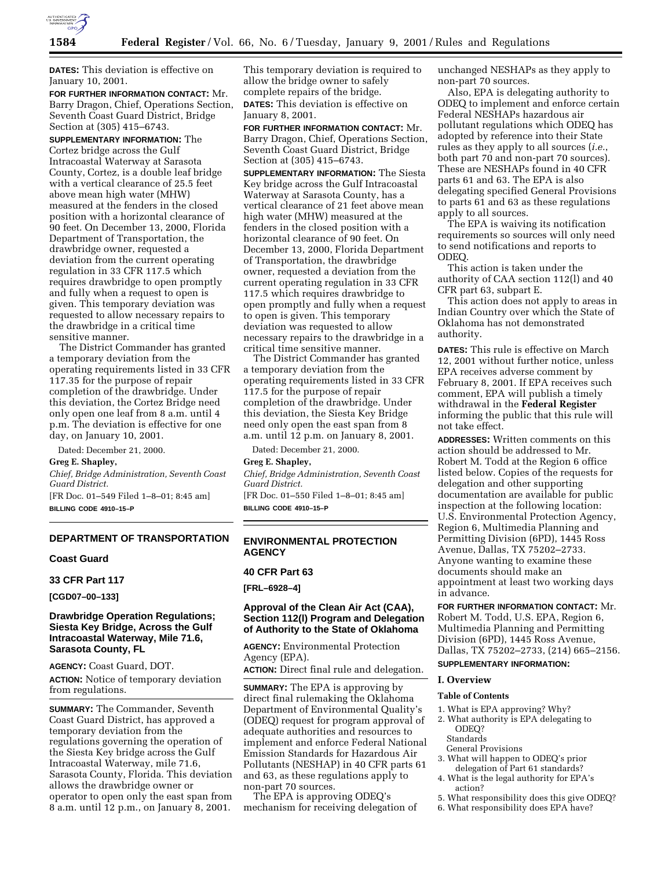

**DATES:** This deviation is effective on January 10, 2001.

**FOR FURTHER INFORMATION CONTACT:** Mr. Barry Dragon, Chief, Operations Section, Seventh Coast Guard District, Bridge Section at (305) 415–6743.

**SUPPLEMENTARY INFORMATION:** The Cortez bridge across the Gulf Intracoastal Waterway at Sarasota County, Cortez, is a double leaf bridge with a vertical clearance of 25.5 feet above mean high water (MHW) measured at the fenders in the closed position with a horizontal clearance of 90 feet. On December 13, 2000, Florida Department of Transportation, the drawbridge owner, requested a deviation from the current operating regulation in 33 CFR 117.5 which requires drawbridge to open promptly and fully when a request to open is given. This temporary deviation was requested to allow necessary repairs to the drawbridge in a critical time sensitive manner.

The District Commander has granted a temporary deviation from the operating requirements listed in 33 CFR 117.35 for the purpose of repair completion of the drawbridge. Under this deviation, the Cortez Bridge need only open one leaf from 8 a.m. until 4 p.m. The deviation is effective for one day, on January 10, 2001.

Dated: December 21, 2000.

### **Greg E. Shapley,**

*Chief, Bridge Administration, Seventh Coast Guard District.* [FR Doc. 01–549 Filed 1–8–01; 8:45 am]

**BILLING CODE 4910–15–P**

# **DEPARTMENT OF TRANSPORTATION**

#### **Coast Guard**

**33 CFR Part 117**

**[CGD07–00–133]**

## **Drawbridge Operation Regulations; Siesta Key Bridge, Across the Gulf Intracoastal Waterway, Mile 71.6, Sarasota County, FL**

**AGENCY:** Coast Guard, DOT. **ACTION:** Notice of temporary deviation from regulations.

**SUMMARY:** The Commander, Seventh Coast Guard District, has approved a temporary deviation from the regulations governing the operation of the Siesta Key bridge across the Gulf Intracoastal Waterway, mile 71.6, Sarasota County, Florida. This deviation allows the drawbridge owner or operator to open only the east span from 8 a.m. until 12 p.m., on January 8, 2001.

This temporary deviation is required to allow the bridge owner to safely complete repairs of the bridge. **DATES:** This deviation is effective on January 8, 2001.

**FOR FURTHER INFORMATION CONTACT:** Mr. Barry Dragon, Chief, Operations Section, Seventh Coast Guard District, Bridge Section at (305) 415–6743.

**SUPPLEMENTARY INFORMATION:** The Siesta Key bridge across the Gulf Intracoastal Waterway at Sarasota County, has a vertical clearance of 21 feet above mean high water (MHW) measured at the fenders in the closed position with a horizontal clearance of 90 feet. On December 13, 2000, Florida Department of Transportation, the drawbridge owner, requested a deviation from the current operating regulation in 33 CFR 117.5 which requires drawbridge to open promptly and fully when a request to open is given. This temporary deviation was requested to allow necessary repairs to the drawbridge in a critical time sensitive manner.

The District Commander has granted a temporary deviation from the operating requirements listed in 33 CFR 117.5 for the purpose of repair completion of the drawbridge. Under this deviation, the Siesta Key Bridge need only open the east span from 8 a.m. until 12 p.m. on January 8, 2001.

Dated: December 21, 2000.

#### **Greg E. Shapley,**

*Chief, Bridge Administration, Seventh Coast Guard District.*

[FR Doc. 01–550 Filed 1–8–01; 8:45 am] **BILLING CODE 4910–15–P**

## **ENVIRONMENTAL PROTECTION AGENCY**

# **40 CFR Part 63**

**[FRL–6928–4]**

# **Approval of the Clean Air Act (CAA), Section 112(l) Program and Delegation of Authority to the State of Oklahoma**

**AGENCY:** Environmental Protection Agency (EPA).

**ACTION:** Direct final rule and delegation.

**SUMMARY:** The EPA is approving by direct final rulemaking the Oklahoma Department of Environmental Quality's (ODEQ) request for program approval of adequate authorities and resources to implement and enforce Federal National Emission Standards for Hazardous Air Pollutants (NESHAP) in 40 CFR parts 61 and 63, as these regulations apply to non-part 70 sources.

The EPA is approving ODEQ's mechanism for receiving delegation of unchanged NESHAPs as they apply to non-part 70 sources.

Also, EPA is delegating authority to ODEQ to implement and enforce certain Federal NESHAPs hazardous air pollutant regulations which ODEQ has adopted by reference into their State rules as they apply to all sources (*i.e.*, both part 70 and non-part 70 sources). These are NESHAPs found in 40 CFR parts 61 and 63. The EPA is also delegating specified General Provisions to parts 61 and 63 as these regulations apply to all sources.

The EPA is waiving its notification requirements so sources will only need to send notifications and reports to ODEQ.

This action is taken under the authority of CAA section 112(l) and 40 CFR part 63, subpart E.

This action does not apply to areas in Indian Country over which the State of Oklahoma has not demonstrated authority.

**DATES:** This rule is effective on March 12, 2001 without further notice, unless EPA receives adverse comment by February 8, 2001. If EPA receives such comment, EPA will publish a timely withdrawal in the **Federal Register** informing the public that this rule will not take effect.

**ADDRESSES:** Written comments on this action should be addressed to Mr. Robert M. Todd at the Region 6 office listed below. Copies of the requests for delegation and other supporting documentation are available for public inspection at the following location: U.S. Environmental Protection Agency, Region 6, Multimedia Planning and Permitting Division (6PD), 1445 Ross Avenue, Dallas, TX 75202–2733. Anyone wanting to examine these documents should make an appointment at least two working days in advance.

**FOR FURTHER INFORMATION CONTACT:** Mr. Robert M. Todd, U.S. EPA, Region 6, Multimedia Planning and Permitting Division (6PD), 1445 Ross Avenue,

# Dallas, TX 75202–2733, (214) 665–2156. **SUPPLEMENTARY INFORMATION:**

#### **I. Overview**

#### **Table of Contents**

- 1. What is EPA approving? Why?
- 2. What authority is EPA delegating to ODEQ?
	- Standards
- General Provisions
- 3. What will happen to ODEQ's prior delegation of Part 61 standards?
- 4. What is the legal authority for EPA's action?
- 5. What responsibility does this give ODEQ?
- 6. What responsibility does EPA have?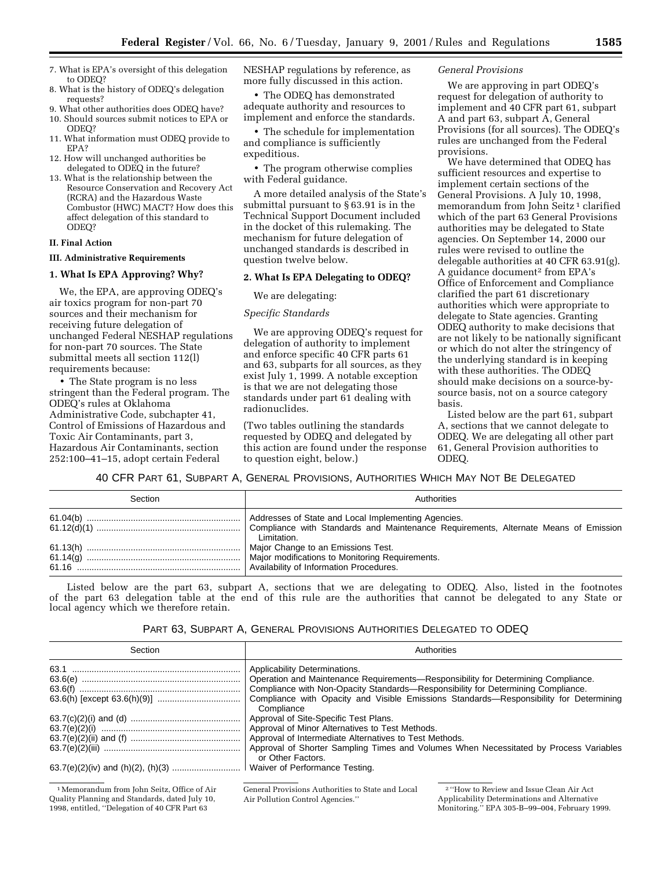- 7. What is EPA's oversight of this delegation to ODEQ?
- 8. What is the history of ODEQ's delegation requests?

9. What other authorities does ODEQ have?

- 10. Should sources submit notices to EPA or ODEQ?
- 11. What information must ODEQ provide to EPA?
- 12. How will unchanged authorities be delegated to ODEQ in the future?
- 13. What is the relationship between the Resource Conservation and Recovery Act (RCRA) and the Hazardous Waste Combustor (HWC) MACT? How does this affect delegation of this standard to ODEQ?

# **II. Final Action**

# **III. Administrative Requirements**

# **1. What Is EPA Approving? Why?**

We, the EPA, are approving ODEQ's air toxics program for non-part 70 sources and their mechanism for receiving future delegation of unchanged Federal NESHAP regulations for non-part 70 sources. The State submittal meets all section 112(l) requirements because:

• The State program is no less stringent than the Federal program. The ODEQ's rules at Oklahoma Administrative Code, subchapter 41, Control of Emissions of Hazardous and Toxic Air Contaminants, part 3, Hazardous Air Contaminants, section 252:100–41–15, adopt certain Federal

NESHAP regulations by reference, as more fully discussed in this action.

• The ODEQ has demonstrated adequate authority and resources to implement and enforce the standards.

• The schedule for implementation and compliance is sufficiently expeditious.

• The program otherwise complies with Federal guidance.

A more detailed analysis of the State's submittal pursuant to § 63.91 is in the Technical Support Document included in the docket of this rulemaking. The mechanism for future delegation of unchanged standards is described in question twelve below.

### **2. What Is EPA Delegating to ODEQ?**

#### We are delegating:

## *Specific Standards*

We are approving ODEQ's request for delegation of authority to implement and enforce specific 40 CFR parts 61 and 63, subparts for all sources, as they exist July 1, 1999. A notable exception is that we are not delegating those standards under part 61 dealing with radionuclides.

(Two tables outlining the standards requested by ODEQ and delegated by this action are found under the response to question eight, below.)

## *General Provisions*

We are approving in part ODEQ's request for delegation of authority to implement and 40 CFR part 61, subpart A and part 63, subpart A, General Provisions (for all sources). The ODEQ's rules are unchanged from the Federal provisions.

We have determined that ODEQ has sufficient resources and expertise to implement certain sections of the General Provisions. A July 10, 1998, memorandum from John Seitz 1 clarified which of the part 63 General Provisions authorities may be delegated to State agencies. On September 14, 2000 our rules were revised to outline the delegable authorities at 40 CFR 63.91(g). A guidance document2 from EPA's Office of Enforcement and Compliance clarified the part 61 discretionary authorities which were appropriate to delegate to State agencies. Granting ODEQ authority to make decisions that are not likely to be nationally significant or which do not alter the stringency of the underlying standard is in keeping with these authorities. The ODEQ should make decisions on a source-bysource basis, not on a source category basis.

Listed below are the part 61, subpart A, sections that we cannot delegate to ODEQ. We are delegating all other part 61, General Provision authorities to ODEQ.

40 CFR PART 61, SUBPART A, GENERAL PROVISIONS, AUTHORITIES WHICH MAY NOT BE DELEGATED

| Section | Authorities |
|---------|-------------|
|         | Limitation. |
|         |             |

Listed below are the part 63, subpart A, sections that we are delegating to ODEQ. Also, listed in the footnotes of the part 63 delegation table at the end of this rule are the authorities that cannot be delegated to any State or local agency which we therefore retain.

| PART 63, SUBPART A, GENERAL PROVISIONS AUTHORITIES DELEGATED TO ODEQ |  |  |  |  |  |  |
|----------------------------------------------------------------------|--|--|--|--|--|--|
|----------------------------------------------------------------------|--|--|--|--|--|--|

| Section                                                                                                            | Authorities                                                                                                                                                                                                                                                                                      |
|--------------------------------------------------------------------------------------------------------------------|--------------------------------------------------------------------------------------------------------------------------------------------------------------------------------------------------------------------------------------------------------------------------------------------------|
|                                                                                                                    | Applicability Determinations.<br>Operation and Maintenance Requirements—Responsibility for Determining Compliance.<br>Compliance with Non-Opacity Standards-Responsibility for Determining Compliance.<br>Compliance with Opacity and Visible Emissions Standards—Responsibility for Determining |
|                                                                                                                    | Compliance<br>Approval of Site-Specific Test Plans.<br>Approval of Minor Alternatives to Test Methods.<br>Approval of Intermediate Alternatives to Test Methods.<br>Approval of Shorter Sampling Times and Volumes When Necessitated by Process Variables<br>or Other Factors.                   |
|                                                                                                                    |                                                                                                                                                                                                                                                                                                  |
| <sup>1</sup> Memorandum from John Seitz, Office of Air<br>$\alpha$ is $\alpha$ in the line of the line of $\alpha$ | General Provisions Authorities to State and Local<br><sup>2</sup> "How to Review and Issue Clean Air Act"<br>$\blacksquare$                                                                                                                                                                      |

Quality Planning and Standards, dated July 10, 1998, entitled, ''Delegation of 40 CFR Part 63

Air Pollution Control Agencies.''

Applicability Determinations and Alternative Monitoring.'' EPA 305-B–99–004, February 1999.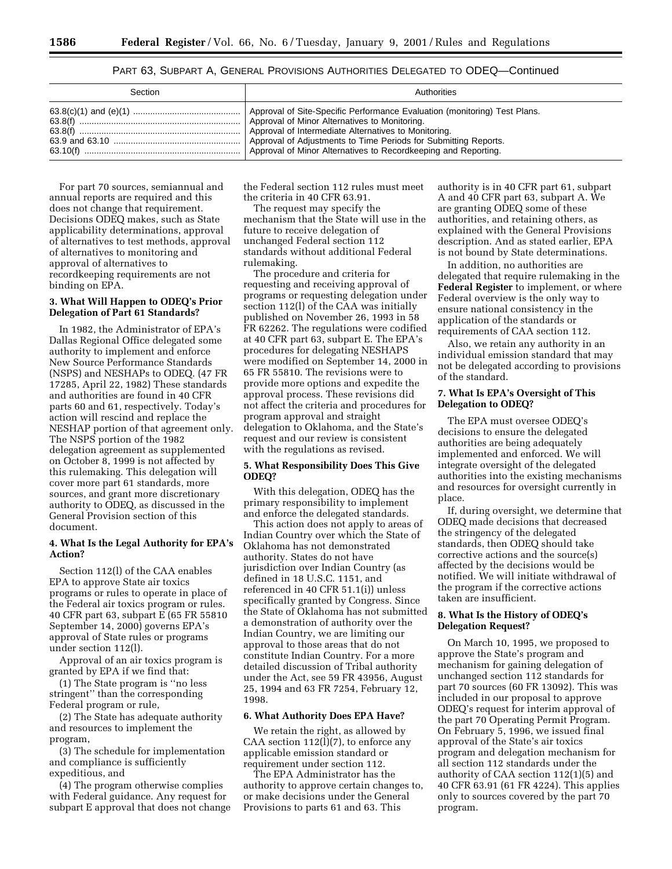# PART 63, SUBPART A, GENERAL PROVISIONS AUTHORITIES DELEGATED TO ODEQ—Continued

| Section | Authorities |
|---------|-------------|
|         |             |

For part 70 sources, semiannual and annual reports are required and this does not change that requirement. Decisions ODEQ makes, such as State applicability determinations, approval of alternatives to test methods, approval of alternatives to monitoring and approval of alternatives to recordkeeping requirements are not binding on EPA.

#### **3. What Will Happen to ODEQ's Prior Delegation of Part 61 Standards?**

In 1982, the Administrator of EPA's Dallas Regional Office delegated some authority to implement and enforce New Source Performance Standards (NSPS) and NESHAPs to ODEQ. (47 FR 17285, April 22, 1982) These standards and authorities are found in 40 CFR parts 60 and 61, respectively. Today's action will rescind and replace the NESHAP portion of that agreement only. The NSPS portion of the 1982 delegation agreement as supplemented on October 8, 1999 is not affected by this rulemaking. This delegation will cover more part 61 standards, more sources, and grant more discretionary authority to ODEQ, as discussed in the General Provision section of this document.

## **4. What Is the Legal Authority for EPA's Action?**

Section 112(l) of the CAA enables EPA to approve State air toxics programs or rules to operate in place of the Federal air toxics program or rules. 40 CFR part 63, subpart E (65 FR 55810 September 14, 2000) governs EPA's approval of State rules or programs under section 112(l).

Approval of an air toxics program is granted by EPA if we find that:

(1) The State program is ''no less stringent'' than the corresponding Federal program or rule,

(2) The State has adequate authority and resources to implement the program,

(3) The schedule for implementation and compliance is sufficiently expeditious, and

(4) The program otherwise complies with Federal guidance. Any request for subpart E approval that does not change the Federal section 112 rules must meet the criteria in 40 CFR 63.91.

The request may specify the mechanism that the State will use in the future to receive delegation of unchanged Federal section 112 standards without additional Federal rulemaking.

The procedure and criteria for requesting and receiving approval of programs or requesting delegation under section 112(l) of the CAA was initially published on November 26, 1993 in 58 FR 62262. The regulations were codified at 40 CFR part 63, subpart E. The EPA's procedures for delegating NESHAPS were modified on September 14, 2000 in 65 FR 55810. The revisions were to provide more options and expedite the approval process. These revisions did not affect the criteria and procedures for program approval and straight delegation to Oklahoma, and the State's request and our review is consistent with the regulations as revised.

## **5. What Responsibility Does This Give ODEQ?**

With this delegation, ODEQ has the primary responsibility to implement and enforce the delegated standards.

This action does not apply to areas of Indian Country over which the State of Oklahoma has not demonstrated authority. States do not have jurisdiction over Indian Country (as defined in 18 U.S.C. 1151, and referenced in 40 CFR 51.1(i)) unless specifically granted by Congress. Since the State of Oklahoma has not submitted a demonstration of authority over the Indian Country, we are limiting our approval to those areas that do not constitute Indian Country. For a more detailed discussion of Tribal authority under the Act, see 59 FR 43956, August 25, 1994 and 63 FR 7254, February 12, 1998.

#### **6. What Authority Does EPA Have?**

We retain the right, as allowed by CAA section 112(l)(7), to enforce any applicable emission standard or requirement under section 112.

The EPA Administrator has the authority to approve certain changes to, or make decisions under the General Provisions to parts 61 and 63. This

authority is in 40 CFR part 61, subpart A and 40 CFR part 63, subpart A. We are granting ODEQ some of these authorities, and retaining others, as explained with the General Provisions description. And as stated earlier, EPA is not bound by State determinations.

In addition, no authorities are delegated that require rulemaking in the **Federal Register** to implement, or where Federal overview is the only way to ensure national consistency in the application of the standards or requirements of CAA section 112.

Also, we retain any authority in an individual emission standard that may not be delegated according to provisions of the standard.

## **7. What Is EPA's Oversight of This Delegation to ODEQ?**

The EPA must oversee ODEQ's decisions to ensure the delegated authorities are being adequately implemented and enforced. We will integrate oversight of the delegated authorities into the existing mechanisms and resources for oversight currently in place.

If, during oversight, we determine that ODEQ made decisions that decreased the stringency of the delegated standards, then ODEQ should take corrective actions and the source(s) affected by the decisions would be notified. We will initiate withdrawal of the program if the corrective actions taken are insufficient.

## **8. What Is the History of ODEQ's Delegation Request?**

On March 10, 1995, we proposed to approve the State's program and mechanism for gaining delegation of unchanged section 112 standards for part 70 sources (60 FR 13092). This was included in our proposal to approve ODEQ's request for interim approval of the part 70 Operating Permit Program. On February 5, 1996, we issued final approval of the State's air toxics program and delegation mechanism for all section 112 standards under the authority of CAA section 112(1)(5) and 40 CFR 63.91 (61 FR 4224). This applies only to sources covered by the part 70 program.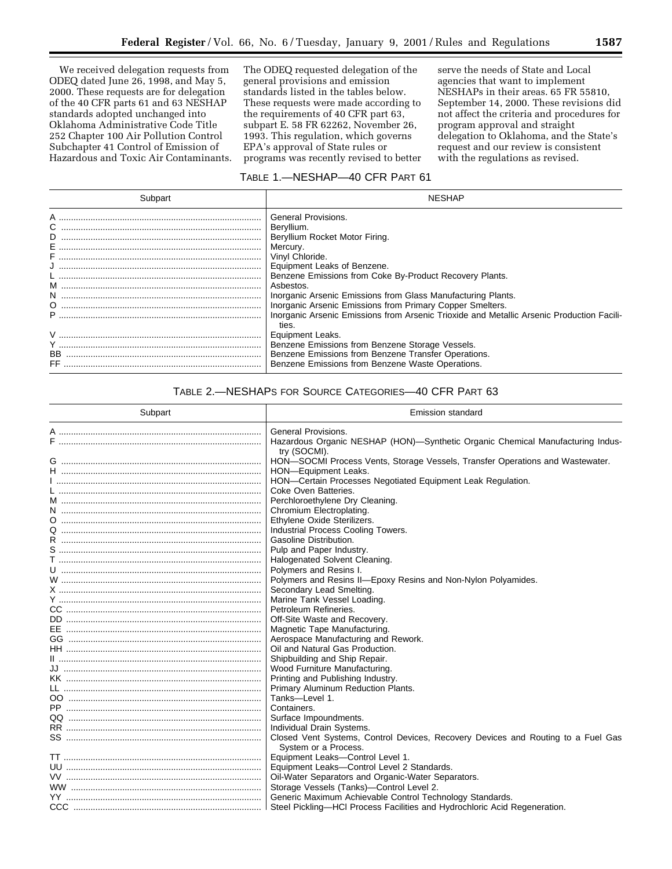We received delegation requests from ODEQ dated June 26, 1998, and May 5, 2000. These requests are for delegation of the 40 CFR parts 61 and 63 NESHAP standards adopted unchanged into Oklahoma Administrative Code Title 252 Chapter 100 Air Pollution Control Subchapter 41 Control of Emission of Hazardous and Toxic Air Contaminants.

The ODEQ requested delegation of the general provisions and emission standards listed in the tables below. These requests were made according to the requirements of 40 CFR part 63, subpart E. 58 FR 62262, November 26, 1993. This regulation, which governs EPA's approval of State rules or programs was recently revised to better

serve the needs of State and Local agencies that want to implement NESHAPs in their areas. 65 FR 55810, September 14, 2000. These revisions did not affect the criteria and procedures for program approval and straight delegation to Oklahoma, and the State's request and our review is consistent with the regulations as revised.

# TABLE 1.—NESHAP—40 CFR PART 61

| Subpart                                  | NESHAP                                                                                                                                                                                                                                                                                                                                                                                                                                     |
|------------------------------------------|--------------------------------------------------------------------------------------------------------------------------------------------------------------------------------------------------------------------------------------------------------------------------------------------------------------------------------------------------------------------------------------------------------------------------------------------|
| A ………………………………………………………………………<br>D<br>N. | <b>General Provisions.</b><br>Beryllium.<br>Beryllium Rocket Motor Firing.<br>Mercury.<br>Vinyl Chloride.<br>Equipment Leaks of Benzene.<br>Benzene Emissions from Coke By-Product Recovery Plants.<br>Asbestos.<br>Inorganic Arsenic Emissions from Glass Manufacturing Plants.<br>Inorganic Arsenic Emissions from Primary Copper Smelters.<br>Inorganic Arsenic Emissions from Arsenic Trioxide and Metallic Arsenic Production Facili- |
| V …………………………………………………………………………<br>FF     | ties.<br>Equipment Leaks.<br>Benzene Emissions from Benzene Storage Vessels.<br>Benzene Emissions from Benzene Transfer Operations.<br>Benzene Emissions from Benzene Waste Operations.                                                                                                                                                                                                                                                    |

# TABLE 2.—NESHAPS FOR SOURCE CATEGORIES—40 CFR PART 63

| Subpart                       | <b>Emission standard</b>                                                                                 |  |  |
|-------------------------------|----------------------------------------------------------------------------------------------------------|--|--|
|                               | General Provisions.                                                                                      |  |  |
|                               | Hazardous Organic NESHAP (HON)—Synthetic Organic Chemical Manufacturing Indus-                           |  |  |
|                               | try (SOCMI).                                                                                             |  |  |
|                               | HON-SOCMI Process Vents, Storage Vessels, Transfer Operations and Wastewater.                            |  |  |
|                               | HON-Equipment Leaks.                                                                                     |  |  |
|                               | HON-Certain Processes Negotiated Equipment Leak Regulation.                                              |  |  |
|                               | Coke Oven Batteries.                                                                                     |  |  |
|                               | Perchloroethylene Dry Cleaning.                                                                          |  |  |
|                               | Chromium Electroplating.                                                                                 |  |  |
|                               | Ethylene Oxide Sterilizers.                                                                              |  |  |
|                               | Industrial Process Cooling Towers.                                                                       |  |  |
|                               | Gasoline Distribution.                                                                                   |  |  |
|                               | Pulp and Paper Industry.                                                                                 |  |  |
|                               | Halogenated Solvent Cleaning.                                                                            |  |  |
|                               | Polymers and Resins I.                                                                                   |  |  |
|                               | Polymers and Resins II-Epoxy Resins and Non-Nylon Polyamides.                                            |  |  |
|                               | Secondary Lead Smelting.                                                                                 |  |  |
|                               | Marine Tank Vessel Loading.                                                                              |  |  |
|                               | Petroleum Refineries.                                                                                    |  |  |
|                               | Off-Site Waste and Recovery.                                                                             |  |  |
|                               | Magnetic Tape Manufacturing.                                                                             |  |  |
|                               | Aerospace Manufacturing and Rework.                                                                      |  |  |
|                               | Oil and Natural Gas Production.                                                                          |  |  |
|                               | Shipbuilding and Ship Repair.                                                                            |  |  |
|                               | Wood Furniture Manufacturing.                                                                            |  |  |
|                               | Printing and Publishing Industry.                                                                        |  |  |
|                               | Primary Aluminum Reduction Plants.                                                                       |  |  |
|                               | Tanks-Level 1.                                                                                           |  |  |
|                               | Containers.                                                                                              |  |  |
| QQ …………………………………………………………………  | Surface Impoundments.                                                                                    |  |  |
|                               | Individual Drain Systems.                                                                                |  |  |
|                               | Closed Vent Systems, Control Devices, Recovery Devices and Routing to a Fuel Gas<br>System or a Process. |  |  |
|                               | Equipment Leaks-Control Level 1.                                                                         |  |  |
|                               | Equipment Leaks-Control Level 2 Standards.                                                               |  |  |
|                               | Oil-Water Separators and Organic-Water Separators.                                                       |  |  |
|                               | Storage Vessels (Tanks)-Control Level 2.                                                                 |  |  |
| YY …………………………………………………………………… | Generic Maximum Achievable Control Technology Standards.                                                 |  |  |
|                               | Steel Pickling-HCI Process Facilities and Hydrochloric Acid Regeneration.                                |  |  |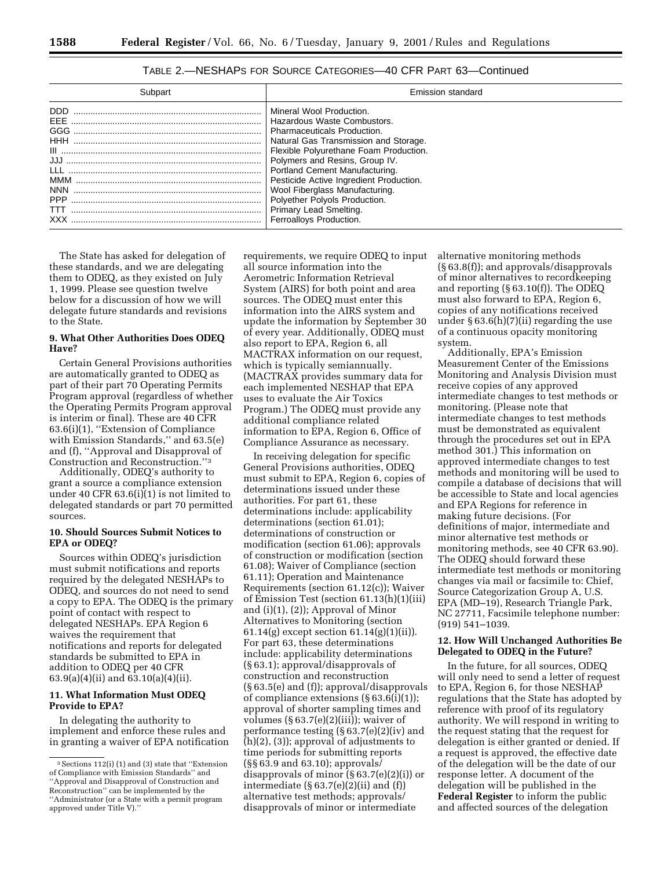| Subpart    | Emission standard                                                                                                                                                                                                                                                                                                                                                                                                       |
|------------|-------------------------------------------------------------------------------------------------------------------------------------------------------------------------------------------------------------------------------------------------------------------------------------------------------------------------------------------------------------------------------------------------------------------------|
| DDD<br>GGG | Mineral Wool Production.<br>Hazardous Waste Combustors.<br><b>Pharmaceuticals Production.</b><br>Natural Gas Transmission and Storage.<br>Flexible Polyurethane Foam Production.<br>Polymers and Resins, Group IV.<br>Portland Cement Manufacturing.<br>Pesticide Active Ingredient Production.<br>Wool Fiberglass Manufacturing.<br>Polyether Polyols Production.<br>Primary Lead Smelting.<br>Ferroalloys Production. |

# TABLE 2.—NESHAPS FOR SOURCE CATEGORIES—40 CFR PART 63—Continued

The State has asked for delegation of these standards, and we are delegating them to ODEQ, as they existed on July 1, 1999. Please see question twelve below for a discussion of how we will delegate future standards and revisions to the State.

# **9. What Other Authorities Does ODEQ Have?**

Certain General Provisions authorities are automatically granted to ODEQ as part of their part 70 Operating Permits Program approval (regardless of whether the Operating Permits Program approval is interim or final). These are 40 CFR 63.6(i)(1), ''Extension of Compliance with Emission Standards,'' and 63.5(e) and (f), ''Approval and Disapproval of Construction and Reconstruction.''3

Additionally, ODEQ's authority to grant a source a compliance extension under 40 CFR 63.6(i)(1) is not limited to delegated standards or part 70 permitted sources.

# **10. Should Sources Submit Notices to EPA or ODEQ?**

Sources within ODEQ's jurisdiction must submit notifications and reports required by the delegated NESHAPs to ODEQ, and sources do not need to send a copy to EPA. The ODEQ is the primary point of contact with respect to delegated NESHAPs. EPA Region 6 waives the requirement that notifications and reports for delegated standards be submitted to EPA in addition to ODEQ per 40 CFR 63.9(a)(4)(ii) and 63.10(a)(4)(ii).

# **11. What Information Must ODEQ Provide to EPA?**

In delegating the authority to implement and enforce these rules and in granting a waiver of EPA notification requirements, we require ODEQ to input all source information into the Aerometric Information Retrieval System (AIRS) for both point and area sources. The ODEQ must enter this information into the AIRS system and update the information by September 30 of every year. Additionally, ODEQ must also report to EPA, Region 6, all MACTRAX information on our request, which is typically semiannually. (MACTRAX provides summary data for each implemented NESHAP that EPA uses to evaluate the Air Toxics Program.) The ODEQ must provide any additional compliance related information to EPA, Region 6, Office of Compliance Assurance as necessary.

In receiving delegation for specific General Provisions authorities, ODEQ must submit to EPA, Region 6, copies of determinations issued under these authorities. For part 61, these determinations include: applicability determinations (section 61.01); determinations of construction or modification (section 61.06); approvals of construction or modification (section 61.08); Waiver of Compliance (section 61.11); Operation and Maintenance Requirements (section 61.12(c)); Waiver of Emission Test (section 61.13(h)(1)(iii) and (i)(1), (2)); Approval of Minor Alternatives to Monitoring (section 61.14(g) except section 61.14(g)(1)(ii)). For part 63, these determinations include: applicability determinations (§ 63.1); approval/disapprovals of construction and reconstruction (§ 63.5(e) and (f)); approval/disapprovals of compliance extensions (§ 63.6(i)(1)); approval of shorter sampling times and volumes (§ 63.7(e)(2)(iii)); waiver of performance testing (§ 63.7(e)(2)(iv) and (h)(2), (3)); approval of adjustments to time periods for submitting reports (§§ 63.9 and 63.10); approvals/ disapprovals of minor (§ 63.7(e)(2)(i)) or intermediate (§ 63.7(e)(2)(ii) and (f)) alternative test methods; approvals/ disapprovals of minor or intermediate

alternative monitoring methods (§ 63.8(f)); and approvals/disapprovals of minor alternatives to recordkeeping and reporting (§ 63.10(f)). The ODEQ must also forward to EPA, Region 6, copies of any notifications received under § 63.6(h)(7)(ii) regarding the use of a continuous opacity monitoring system.

Additionally, EPA's Emission Measurement Center of the Emissions Monitoring and Analysis Division must receive copies of any approved intermediate changes to test methods or monitoring. (Please note that intermediate changes to test methods must be demonstrated as equivalent through the procedures set out in EPA method 301.) This information on approved intermediate changes to test methods and monitoring will be used to compile a database of decisions that will be accessible to State and local agencies and EPA Regions for reference in making future decisions. (For definitions of major, intermediate and minor alternative test methods or monitoring methods, see 40 CFR 63.90). The ODEQ should forward these intermediate test methods or monitoring changes via mail or facsimile to: Chief, Source Categorization Group A, U.S. EPA (MD–19), Research Triangle Park, NC 27711, Facsimile telephone number: (919) 541–1039.

### **12. How Will Unchanged Authorities Be Delegated to ODEQ in the Future?**

In the future, for all sources, ODEQ will only need to send a letter of request to EPA, Region 6, for those NESHAP regulations that the State has adopted by reference with proof of its regulatory authority. We will respond in writing to the request stating that the request for delegation is either granted or denied. If a request is approved, the effective date of the delegation will be the date of our response letter. A document of the delegation will be published in the **Federal Register** to inform the public and affected sources of the delegation

<sup>3</sup>Sections 112(i) (1) and (3) state that ''Extension of Compliance with Emission Standards'' and ''Approval and Disapproval of Construction and Reconstruction'' can be implemented by the ''Administrator (or a State with a permit program

approved under Title V).''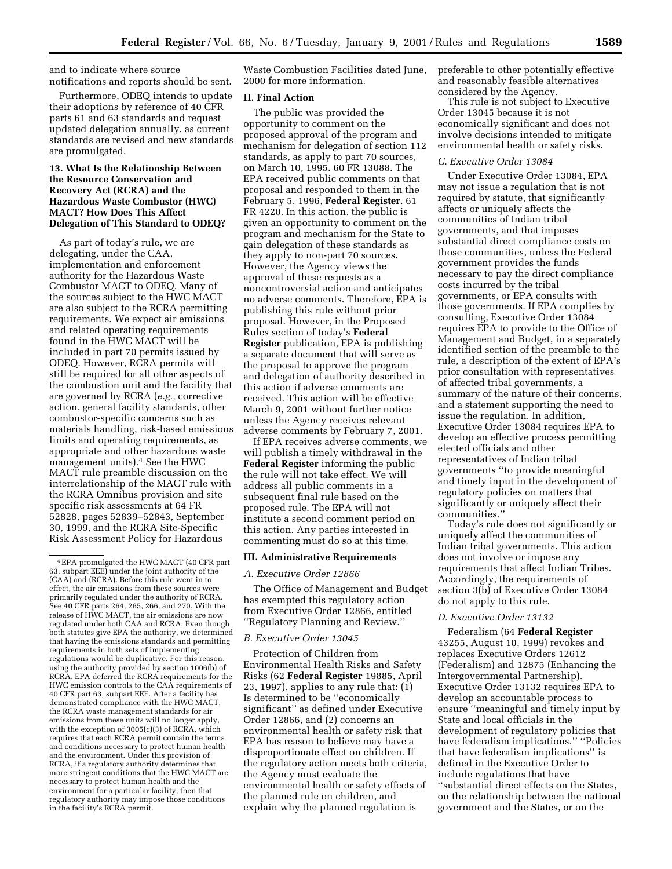and to indicate where source notifications and reports should be sent.

Furthermore, ODEQ intends to update their adoptions by reference of 40 CFR parts 61 and 63 standards and request updated delegation annually, as current standards are revised and new standards are promulgated.

# **13. What Is the Relationship Between the Resource Conservation and Recovery Act (RCRA) and the Hazardous Waste Combustor (HWC) MACT? How Does This Affect Delegation of This Standard to ODEQ?**

As part of today's rule, we are delegating, under the CAA, implementation and enforcement authority for the Hazardous Waste Combustor MACT to ODEQ. Many of the sources subject to the HWC MACT are also subject to the RCRA permitting requirements. We expect air emissions and related operating requirements found in the HWC MACT will be included in part 70 permits issued by ODEQ. However, RCRA permits will still be required for all other aspects of the combustion unit and the facility that are governed by RCRA (*e.g.,* corrective action, general facility standards, other combustor-specific concerns such as materials handling, risk-based emissions limits and operating requirements, as appropriate and other hazardous waste management units).4 See the HWC MACT rule preamble discussion on the interrelationship of the MACT rule with the RCRA Omnibus provision and site specific risk assessments at 64 FR 52828, pages 52839–52843, September 30, 1999, and the RCRA Site-Specific Risk Assessment Policy for Hazardous

Waste Combustion Facilities dated June, 2000 for more information.

### **II. Final Action**

The public was provided the opportunity to comment on the proposed approval of the program and mechanism for delegation of section 112 standards, as apply to part 70 sources, on March 10, 1995. 60 FR 13088. The EPA received public comments on that proposal and responded to them in the February 5, 1996, **Federal Register**. 61 FR 4220. In this action, the public is given an opportunity to comment on the program and mechanism for the State to gain delegation of these standards as they apply to non-part 70 sources. However, the Agency views the approval of these requests as a noncontroversial action and anticipates no adverse comments. Therefore, EPA is publishing this rule without prior proposal. However, in the Proposed Rules section of today's **Federal Register** publication, EPA is publishing a separate document that will serve as the proposal to approve the program and delegation of authority described in this action if adverse comments are received. This action will be effective March 9, 2001 without further notice unless the Agency receives relevant adverse comments by February 7, 2001.

If EPA receives adverse comments, we will publish a timely withdrawal in the **Federal Register** informing the public the rule will not take effect. We will address all public comments in a subsequent final rule based on the proposed rule. The EPA will not institute a second comment period on this action. Any parties interested in commenting must do so at this time.

#### **III. Administrative Requirements**

#### *A. Executive Order 12866*

The Office of Management and Budget has exempted this regulatory action from Executive Order 12866, entitled ''Regulatory Planning and Review.''

### *B. Executive Order 13045*

Protection of Children from Environmental Health Risks and Safety Risks (62 **Federal Register** 19885, April 23, 1997), applies to any rule that: (1) Is determined to be ''economically significant'' as defined under Executive Order 12866, and (2) concerns an environmental health or safety risk that EPA has reason to believe may have a disproportionate effect on children. If the regulatory action meets both criteria, the Agency must evaluate the environmental health or safety effects of the planned rule on children, and explain why the planned regulation is

preferable to other potentially effective and reasonably feasible alternatives considered by the Agency.

This rule is not subject to Executive Order 13045 because it is not economically significant and does not involve decisions intended to mitigate environmental health or safety risks.

### *C. Executive Order 13084*

Under Executive Order 13084, EPA may not issue a regulation that is not required by statute, that significantly affects or uniquely affects the communities of Indian tribal governments, and that imposes substantial direct compliance costs on those communities, unless the Federal government provides the funds necessary to pay the direct compliance costs incurred by the tribal governments, or EPA consults with those governments. If EPA complies by consulting, Executive Order 13084 requires EPA to provide to the Office of Management and Budget, in a separately identified section of the preamble to the rule, a description of the extent of EPA's prior consultation with representatives of affected tribal governments, a summary of the nature of their concerns, and a statement supporting the need to issue the regulation. In addition, Executive Order 13084 requires EPA to develop an effective process permitting elected officials and other representatives of Indian tribal governments ''to provide meaningful and timely input in the development of regulatory policies on matters that significantly or uniquely affect their communities.''

Today's rule does not significantly or uniquely affect the communities of Indian tribal governments. This action does not involve or impose any requirements that affect Indian Tribes. Accordingly, the requirements of section 3(b) of Executive Order 13084 do not apply to this rule.

#### *D. Executive Order 13132*

Federalism (64 **Federal Register** 43255, August 10, 1999) revokes and replaces Executive Orders 12612 (Federalism) and 12875 (Enhancing the Intergovernmental Partnership). Executive Order 13132 requires EPA to develop an accountable process to ensure ''meaningful and timely input by State and local officials in the development of regulatory policies that have federalism implications.'' ''Policies that have federalism implications'' is defined in the Executive Order to include regulations that have ''substantial direct effects on the States, on the relationship between the national government and the States, or on the

<sup>4</sup>EPA promulgated the HWC MACT (40 CFR part 63, subpart EEE) under the joint authority of the (CAA) and (RCRA). Before this rule went in to effect, the air emissions from these sources were primarily regulated under the authority of RCRA. See 40 CFR parts 264, 265, 266, and 270. With the release of HWC MACT, the air emissions are now regulated under both CAA and RCRA. Even though both statutes give EPA the authority, we determined that having the emissions standards and permitting requirements in both sets of implementing regulations would be duplicative. For this reason, using the authority provided by section 1006(b) of RCRA, EPA deferred the RCRA requirements for the HWC emission controls to the CAA requirements of 40 CFR part 63, subpart EEE. After a facility has demonstrated compliance with the HWC MACT, the RCRA waste management standards for air emissions from these units will no longer apply, with the exception of 3005(c)(3) of RCRA, which requires that each RCRA permit contain the terms and conditions necessary to protect human health and the environment. Under this provision of RCRA, if a regulatory authority determines that more stringent conditions that the HWC MACT are necessary to protect human health and the environment for a particular facility, then that regulatory authority may impose those conditions in the facility's RCRA permit.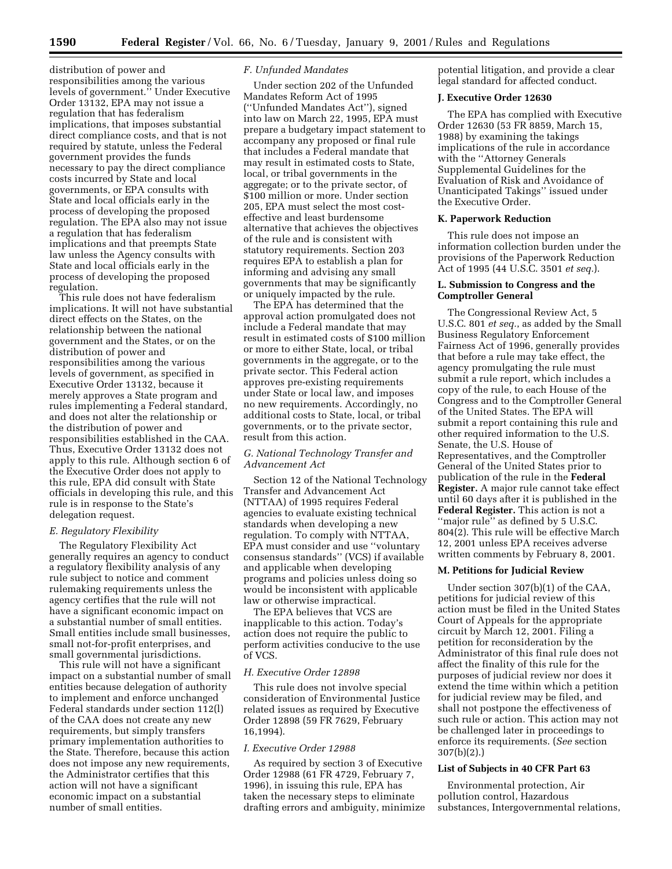**1590 Federal Register** / Vol. 66, No. 6 / Tuesday, January 9, 2001 / Rules and Regulations

distribution of power and responsibilities among the various levels of government.'' Under Executive Order 13132, EPA may not issue a regulation that has federalism implications, that imposes substantial direct compliance costs, and that is not required by statute, unless the Federal government provides the funds necessary to pay the direct compliance costs incurred by State and local governments, or EPA consults with State and local officials early in the process of developing the proposed regulation. The EPA also may not issue a regulation that has federalism implications and that preempts State law unless the Agency consults with State and local officials early in the process of developing the proposed regulation.

This rule does not have federalism implications. It will not have substantial direct effects on the States, on the relationship between the national government and the States, or on the distribution of power and responsibilities among the various levels of government, as specified in Executive Order 13132, because it merely approves a State program and rules implementing a Federal standard, and does not alter the relationship or the distribution of power and responsibilities established in the CAA. Thus, Executive Order 13132 does not apply to this rule. Although section 6 of the Executive Order does not apply to this rule, EPA did consult with State officials in developing this rule, and this rule is in response to the State's delegation request.

#### *E. Regulatory Flexibility*

The Regulatory Flexibility Act generally requires an agency to conduct a regulatory flexibility analysis of any rule subject to notice and comment rulemaking requirements unless the agency certifies that the rule will not have a significant economic impact on a substantial number of small entities. Small entities include small businesses, small not-for-profit enterprises, and small governmental jurisdictions.

This rule will not have a significant impact on a substantial number of small entities because delegation of authority to implement and enforce unchanged Federal standards under section 112(l) of the CAA does not create any new requirements, but simply transfers primary implementation authorities to the State. Therefore, because this action does not impose any new requirements, the Administrator certifies that this action will not have a significant economic impact on a substantial number of small entities.

#### *F. Unfunded Mandates*

Under section 202 of the Unfunded Mandates Reform Act of 1995 (''Unfunded Mandates Act''), signed into law on March 22, 1995, EPA must prepare a budgetary impact statement to accompany any proposed or final rule that includes a Federal mandate that may result in estimated costs to State, local, or tribal governments in the aggregate; or to the private sector, of \$100 million or more. Under section 205, EPA must select the most costeffective and least burdensome alternative that achieves the objectives of the rule and is consistent with statutory requirements. Section 203 requires EPA to establish a plan for informing and advising any small governments that may be significantly or uniquely impacted by the rule.

The EPA has determined that the approval action promulgated does not include a Federal mandate that may result in estimated costs of \$100 million or more to either State, local, or tribal governments in the aggregate, or to the private sector. This Federal action approves pre-existing requirements under State or local law, and imposes no new requirements. Accordingly, no additional costs to State, local, or tribal governments, or to the private sector, result from this action.

# *G. National Technology Transfer and Advancement Act*

Section 12 of the National Technology Transfer and Advancement Act (NTTAA) of 1995 requires Federal agencies to evaluate existing technical standards when developing a new regulation. To comply with NTTAA, EPA must consider and use ''voluntary consensus standards'' (VCS) if available and applicable when developing programs and policies unless doing so would be inconsistent with applicable law or otherwise impractical.

The EPA believes that VCS are inapplicable to this action. Today's action does not require the public to perform activities conducive to the use of VCS.

#### *H. Executive Order 12898*

This rule does not involve special consideration of Environmental Justice related issues as required by Executive Order 12898 (59 FR 7629, February 16,1994).

# *I. Executive Order 12988*

As required by section 3 of Executive Order 12988 (61 FR 4729, February 7, 1996), in issuing this rule, EPA has taken the necessary steps to eliminate drafting errors and ambiguity, minimize potential litigation, and provide a clear legal standard for affected conduct.

#### **J. Executive Order 12630**

The EPA has complied with Executive Order 12630 (53 FR 8859, March 15, 1988) by examining the takings implications of the rule in accordance with the ''Attorney Generals Supplemental Guidelines for the Evaluation of Risk and Avoidance of Unanticipated Takings'' issued under the Executive Order.

#### **K. Paperwork Reduction**

This rule does not impose an information collection burden under the provisions of the Paperwork Reduction Act of 1995 (44 U.S.C. 3501 *et seq.*).

# **L. Submission to Congress and the Comptroller General**

The Congressional Review Act, 5 U.S.C. 801 *et seq.*, as added by the Small Business Regulatory Enforcement Fairness Act of 1996, generally provides that before a rule may take effect, the agency promulgating the rule must submit a rule report, which includes a copy of the rule, to each House of the Congress and to the Comptroller General of the United States. The EPA will submit a report containing this rule and other required information to the U.S. Senate, the U.S. House of Representatives, and the Comptroller General of the United States prior to publication of the rule in the **Federal Register.** A major rule cannot take effect until 60 days after it is published in the **Federal Register.** This action is not a ''major rule'' as defined by 5 U.S.C. 804(2). This rule will be effective March 12, 2001 unless EPA receives adverse written comments by February 8, 2001.

### **M. Petitions for Judicial Review**

Under section 307(b)(1) of the CAA, petitions for judicial review of this action must be filed in the United States Court of Appeals for the appropriate circuit by March 12, 2001. Filing a petition for reconsideration by the Administrator of this final rule does not affect the finality of this rule for the purposes of judicial review nor does it extend the time within which a petition for judicial review may be filed, and shall not postpone the effectiveness of such rule or action. This action may not be challenged later in proceedings to enforce its requirements. (*See* section 307(b)(2).)

#### **List of Subjects in 40 CFR Part 63**

Environmental protection, Air pollution control, Hazardous substances, Intergovernmental relations,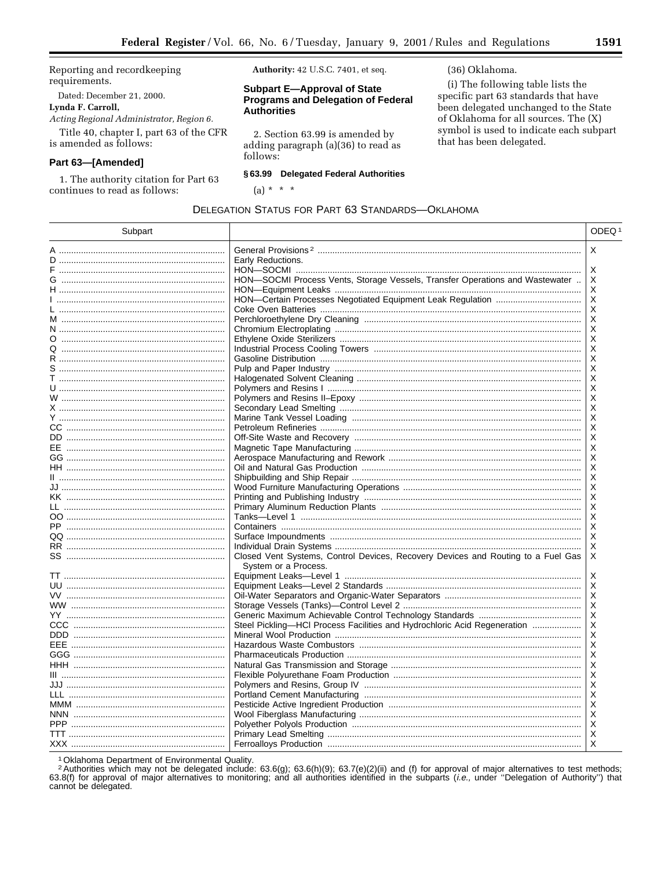Reporting and recordkeeping requirements.

Dated: December 21, 2000.

# Lynda F. Carroll,

 $\overline{\phantom{0}}$  $\overline{a}$ 

Acting Regional Administrator, Region 6. Title 40, chapter I, part 63 of the CFR is amended as follows:

# Part 63-[Amended]

1. The authority citation for Part 63 continues to read as follows:

Authority: 42 U.S.C. 7401, et seq.

# **Subpart E-Approval of State Programs and Delegation of Federal Authorities**

2. Section 63.99 is amended by adding paragraph (a)(36) to read as follows:

# § 63.99 Delegated Federal Authorities

**DELEGATION STATUS FOR PART 63 STANDARDS-OKLAHOMA** 

(a) \* \* \*

# (36) Oklahoma.

(i) The following table lists the specific part 63 standards that have been delegated unchanged to the State of Oklahoma for all sources. The (X) symbol is used to indicate each subpart that has been delegated.

| Subpart                    |                                                                                  | ODEQ <sup>1</sup> |
|----------------------------|----------------------------------------------------------------------------------|-------------------|
| A ……………………………………………………………… |                                                                                  | X                 |
|                            | Early Reductions.                                                                |                   |
|                            |                                                                                  | Х                 |
| G ……………………………………………………………  | HON-SOCMI Process Vents, Storage Vessels, Transfer Operations and Wastewater     | Х                 |
|                            |                                                                                  | X                 |
|                            |                                                                                  | Х                 |
|                            |                                                                                  | X                 |
|                            |                                                                                  | Х                 |
|                            |                                                                                  | X                 |
| O                          |                                                                                  | Х                 |
|                            |                                                                                  | Х                 |
|                            |                                                                                  | х                 |
|                            |                                                                                  | Х                 |
|                            |                                                                                  | X                 |
|                            |                                                                                  | X                 |
|                            |                                                                                  | X                 |
|                            |                                                                                  | X                 |
|                            |                                                                                  | X                 |
|                            |                                                                                  | Х                 |
|                            |                                                                                  | X                 |
|                            |                                                                                  | X                 |
|                            |                                                                                  | X                 |
|                            |                                                                                  | Х                 |
|                            |                                                                                  | X                 |
|                            |                                                                                  | Х                 |
|                            |                                                                                  | X                 |
| LL ………………………………………………………   |                                                                                  | X                 |
|                            |                                                                                  | Х                 |
|                            |                                                                                  | X                 |
|                            |                                                                                  | Х                 |
| RR …………………………………………………………  |                                                                                  | Х                 |
| SS …………………………………………………     | Closed Vent Systems, Control Devices, Recovery Devices and Routing to a Fuel Gas | X                 |
|                            | System or a Process.                                                             |                   |
|                            |                                                                                  | X                 |
|                            |                                                                                  | Х                 |
|                            |                                                                                  | X                 |
|                            |                                                                                  | Х                 |
|                            |                                                                                  | Х                 |
|                            | Steel Pickling-HCI Process Facilities and Hydrochloric Acid Regeneration         | X                 |
|                            |                                                                                  | Х                 |
|                            |                                                                                  | X                 |
|                            |                                                                                  | X                 |
|                            |                                                                                  | X                 |
|                            |                                                                                  | X                 |
|                            |                                                                                  | X                 |
| LLL ………………………………………………………… |                                                                                  | Х                 |
|                            |                                                                                  | X                 |
|                            |                                                                                  | X                 |
| <b>PPP</b>                 |                                                                                  | X                 |
|                            |                                                                                  | X                 |
|                            |                                                                                  | X                 |

<sup>1</sup> Oklahoma Department of Environmental Quality.

<sup>2</sup> Authorities which may not be delegated include: 63.6(g); 63.6(h)(9); 63.7(e)(2)(ii) and (f) for approval of major alternatives to test methods; 63.8(f) for approval of major alternatives to monitoring; and all authorities identified in the subparts (i.e., under "Delegation of Authority") that cannot be delegated.